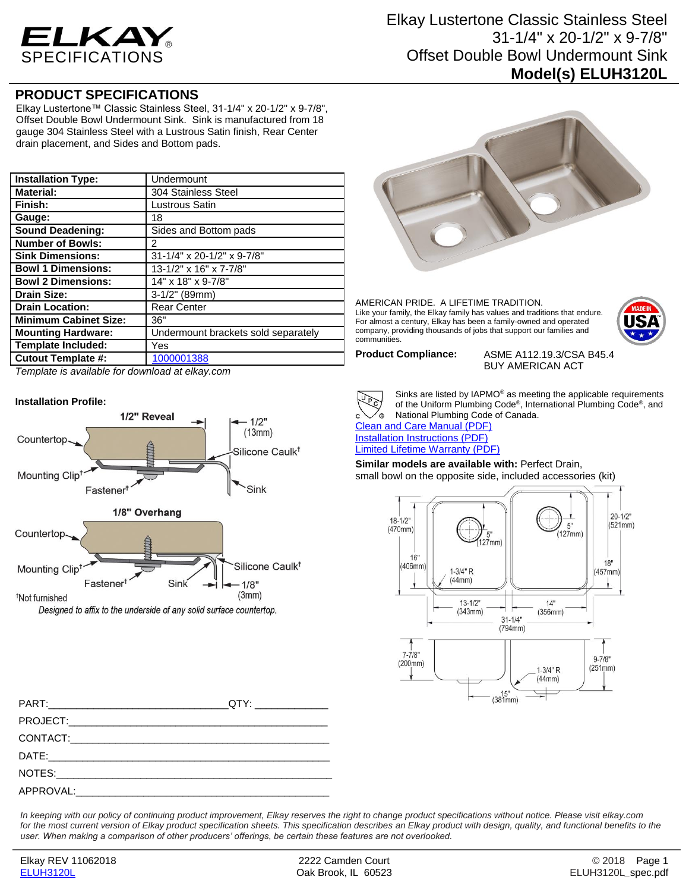

## **PRODUCT SPECIFICATIONS**

Elkay Lustertone™ Classic Stainless Steel, 31-1/4" x 20-1/2" x 9-7/8", Offset Double Bowl Undermount Sink. Sink is manufactured from 18 gauge 304 Stainless Steel with a Lustrous Satin finish, Rear Center drain placement, and Sides and Bottom pads.

| <b>Installation Type:</b>    | Undermount                          |
|------------------------------|-------------------------------------|
| <b>Material:</b>             | 304 Stainless Steel                 |
| Finish:                      | Lustrous Satin                      |
| Gauge:                       | 18                                  |
| <b>Sound Deadening:</b>      | Sides and Bottom pads               |
| <b>Number of Bowls:</b>      | 2                                   |
| <b>Sink Dimensions:</b>      | 31-1/4" x 20-1/2" x 9-7/8"          |
| <b>Bowl 1 Dimensions:</b>    | 13-1/2" x 16" x 7-7/8"              |
| <b>Bowl 2 Dimensions:</b>    | 14" x 18" x 9-7/8"                  |
| <b>Drain Size:</b>           | $3-1/2"$ (89mm)                     |
| <b>Drain Location:</b>       | <b>Rear Center</b>                  |
| <b>Minimum Cabinet Size:</b> | 36"                                 |
| <b>Mounting Hardware:</b>    | Undermount brackets sold separately |
| <b>Template Included:</b>    | Yes                                 |
| <b>Cutout Template #:</b>    | 1000001388                          |

*Template is available for download at elkay.com*





AMERICAN PRIDE. A LIFETIME TRADITION. Like your family, the Elkay family has values and traditions that endure. For almost a century, Elkay has been a family-owned and operated company, providing thousands of jobs that support our families and communities.

**Product Compliance:** ASME A112.19.3/CSA B45.4 BUY AMERICAN ACT

Sinks are listed by IAPMO® as meeting the applicable requirements of the Uniform Plumbing Code®, International Plumbing Code®, and National Plumbing Code of Canada.

[Clean and Care Manual \(PDF\)](http://www.elkay.com/wcsstore/lkdocs/care-cleaning-install-warranty-sheets/residential%20and%20commercial%20care%20%20cleaning.pdf) [Installation Instructions \(PDF\)](http://www.elkay.com/wcsstore/lkdocs/care-cleaning-install-warranty-sheets/1000002045.pdf) [Limited Lifetime Warranty](http://www.elkay.com/wcsstore/lkdocs/care-cleaning-install-warranty-sheets/residential%20sinks%20warranty.pdf) (PDF)

**Similar models are available with:** Perfect Drain, small bowl on the opposite side, included accessories (kit)



PART:\_\_\_\_\_\_\_\_\_\_\_\_\_\_\_\_\_\_\_\_\_\_\_\_\_\_\_\_\_\_\_\_QTY: \_\_\_\_\_\_\_\_\_\_\_\_\_ PROJECT: CONTACT:  $\mathsf{DATE}:\mathsf{A}\longrightarrow\mathsf{A}\longrightarrow\mathsf{A}\longrightarrow\mathsf{A}\longrightarrow\mathsf{A}\longrightarrow\mathsf{A}\longrightarrow\mathsf{A}\longrightarrow\mathsf{A}\longrightarrow\mathsf{A}\longrightarrow\mathsf{A}\longrightarrow\mathsf{A}\longrightarrow\mathsf{A}\longrightarrow\mathsf{A}\longrightarrow\mathsf{A}\longrightarrow\mathsf{A}\longrightarrow\mathsf{A}\longrightarrow\mathsf{A}\longrightarrow\mathsf{A}\longrightarrow\mathsf{A}\longrightarrow\mathsf{A}\longrightarrow\mathsf{A}\longrightarrow\mathsf{A}\longrightarrow\mathsf{A}\longrightarrow\mathsf{A}\longrightarrow\mathsf{A}\longrightarrow\mathsf{A}\longrightarrow\mathsf{A}\longrightarrow\mathsf{A}\longrightarrow\mathsf{A}\longrightarrow\mathsf{A}\longrightarrow\mathsf$ NOTES: APPROVAL:

*In keeping with our policy of continuing product improvement, Elkay reserves the right to change product specifications without notice. Please visit elkay.com*  for the most current version of Elkay product specification sheets. This specification describes an Elkay product with design, quality, and functional benefits to the *user. When making a comparison of other producers' offerings, be certain these features are not overlooked.*